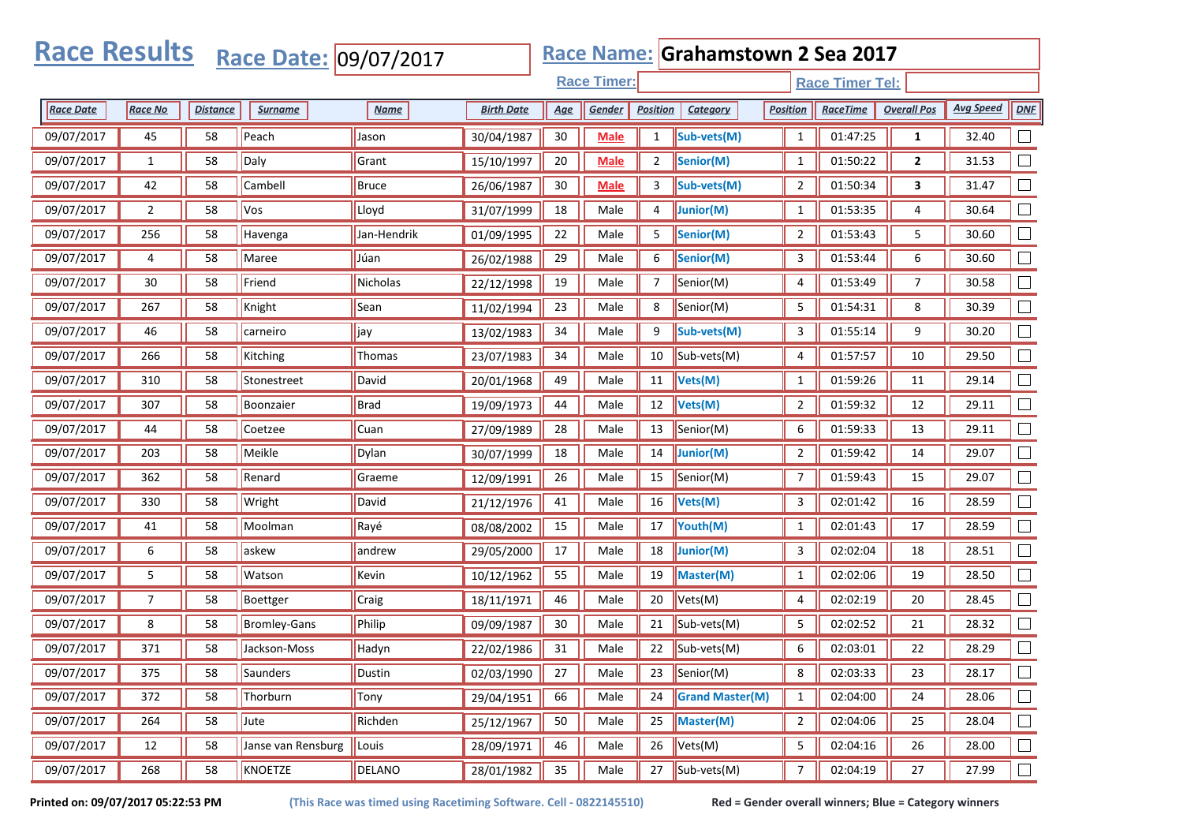| <b>Race Results</b> |                |                 | Race Date: 09/07/2017 |               |                   |            |                    |                 | Race Name: Grahamstown 2 Sea 2017 |                 |                        |                    |                  |        |
|---------------------|----------------|-----------------|-----------------------|---------------|-------------------|------------|--------------------|-----------------|-----------------------------------|-----------------|------------------------|--------------------|------------------|--------|
|                     |                |                 |                       |               |                   |            | <b>Race Timer:</b> |                 |                                   |                 | <b>Race Timer Tel:</b> |                    |                  |        |
| <b>Race Date</b>    | <b>Race No</b> | <b>Distance</b> | <u>Surname</u>        | <b>Name</b>   | <b>Birth Date</b> | <u>Age</u> | Gender             | <b>Position</b> | Category                          | <b>Position</b> | <b>RaceTime</b>        | <b>Overall Pos</b> | <b>Avg Speed</b> | DNE    |
| 09/07/2017          | 45             | 58              | Peach                 | Jason         | 30/04/1987        | $30\,$     | <b>Male</b>        | $\mathbf{1}$    | Sub-vets(M)                       | $\mathbf{1}$    | 01:47:25               | $\mathbf{1}$       | 32.40            |        |
| 09/07/2017          | $\mathbf{1}$   | 58              | Daly                  | Grant         | 15/10/1997        | 20         | <b>Male</b>        | $\overline{2}$  | Senior(M)                         | $\mathbf{1}$    | 01:50:22               | 2                  | 31.53            |        |
| 09/07/2017          | 42             | 58              | Cambell               | Bruce         | 26/06/1987        | 30         | <b>Male</b>        | 3               | Sub-vets(M)                       | $\overline{2}$  | 01:50:34               | 3                  | 31.47            |        |
| 09/07/2017          | $\overline{2}$ | 58              | <b>Vos</b>            | Lloyd         | 31/07/1999        | 18         | Male               | 4               | Junior(M)                         | $\mathbf{1}$    | 01:53:35               | 4                  | 30.64            |        |
| 09/07/2017          | 256            | 58              | Havenga               | Jan-Hendrik   | 01/09/1995        | 22         | Male               | 5               | Senior(M)                         | $\overline{2}$  | 01:53:43               | 5                  | 30.60            |        |
| 09/07/2017          | 4              | 58              | Maree                 | Júan          | 26/02/1988        | 29         | Male               | 6               | Senior(M)                         | 3               | 01:53:44               | 6                  | 30.60            |        |
| 09/07/2017          | 30             | 58              | Friend                | Nicholas      | 22/12/1998        | 19         | Male               | 7               | Senior(M)                         | 4               | 01:53:49               | 7                  | 30.58            |        |
| 09/07/2017          | 267            | 58              | Knight                | Sean          | 11/02/1994        | 23         | Male               | 8               | Senior(M)                         | 5               | 01:54:31               | 8                  | 30.39            |        |
| 09/07/2017          | 46             | 58              | carneiro              | jay           | 13/02/1983        | 34         | Male               | 9               | Sub-vets(M)                       | 3               | 01:55:14               | 9                  | 30.20            |        |
| 09/07/2017          | 266            | 58              | Kitching              | <b>Thomas</b> | 23/07/1983        | 34         | Male               | 10              | Sub-vets(M)                       | 4               | 01:57:57               | 10                 | 29.50            |        |
| 09/07/2017          | 310            | 58              | Stonestreet           | David         | 20/01/1968        | 49         | Male               | 11              | Vets(M)                           | $\mathbf{1}$    | 01:59:26               | 11                 | 29.14            |        |
| 09/07/2017          | 307            | 58              | Boonzaier             | <b>Brad</b>   | 19/09/1973        | 44         | Male               | 12              | Vets(M)                           | $\overline{2}$  | 01:59:32               | 12                 | 29.11            |        |
| 09/07/2017          | 44             | 58              | Coetzee               | Cuan          | 27/09/1989        | 28         | Male               | 13              | Senior(M)                         | 6               | 01:59:33               | 13                 | 29.11            |        |
| 09/07/2017          | 203            | 58              | Meikle                | Dylan         | 30/07/1999        | 18         | Male               | 14              | Junior(M)                         | $\overline{2}$  | 01:59:42               | 14                 | 29.07            |        |
| 09/07/2017          | 362            | 58              | Renard                | Graeme        | 12/09/1991        | 26         | Male               | 15              | Senior(M)                         | $\overline{7}$  | 01:59:43               | 15                 | 29.07            |        |
| 09/07/2017          | 330            | 58              | Wright                | David         | 21/12/1976        | 41         | Male               | 16              | Vets(M)                           | 3               | 02:01:42               | 16                 | 28.59            |        |
| 09/07/2017          | 41             | 58              | Moolman               | Rayé          | 08/08/2002        | 15         | Male               | 17              | Youth(M)                          | $\mathbf{1}$    | 02:01:43               | 17                 | 28.59            |        |
| 09/07/2017          | 6              | 58              | askew                 | andrew        | 29/05/2000        | 17         | Male               | 18              | Junior(M)                         | 3               | 02:02:04               | 18                 | 28.51            |        |
| 09/07/2017          | 5              | 58              | Watson                | Kevin         | 10/12/1962        | 55         | Male               | 19              | <b>Master(M)</b>                  | $\mathbf{1}$    | 02:02:06               | 19                 | 28.50            |        |
| 09/07/2017          | $\overline{7}$ | 58              | Boettger              | Craig         | 18/11/1971        | 46         | Male               | 20              | Vets(M)                           | 4               | 02:02:19               | 20                 | 28.45            |        |
| 09/07/2017          | 8              | 58              | <b>Bromley-Gans</b>   | Philip        | 09/09/1987        | 30         | Male               | 21              | Sub-vets(M)                       | 5               | 02:02:52               | 21                 | 28.32            |        |
| 09/07/2017          | 371            | 58              | Jackson-Moss          | Hadyn         | 22/02/1986        | 31         | Male               | 22              | Sub-vets(M)                       | 6               | 02:03:01               | 22                 | 28.29            |        |
| 09/07/2017          | 375            | 58              | Saunders              | Dustin        | 02/03/1990        | 27         | Male               |                 | 23  Senior(M)                     | 8               | 02:03:33               | 23                 | 28.17            |        |
| 09/07/2017          | 372            | 58              | Thorburn              | Tony          | 29/04/1951        | 66         | Male               | 24              | <b>Grand Master(M)</b>            | $\mathbf{1}$    | 02:04:00               | 24                 | 28.06            |        |
| 09/07/2017          | 264            | 58              | Jute                  | Richden       | 25/12/1967        | 50         | Male               | 25              | Master(M)                         | $\overline{2}$  | 02:04:06               | 25                 | 28.04            |        |
| 09/07/2017          | 12             | 58              | Janse van Rensburg    | Louis         | 28/09/1971        | 46         | Male               | 26              | Vets(M)                           | 5               | 02:04:16               | 26                 | 28.00            |        |
| 09/07/2017          | 268            | 58              | KNOETZE               | <b>DELANO</b> | 28/01/1982        | 35         | Male               | 27              | $\parallel$ Sub-vets(M)           | $\overline{7}$  | 02:04:19               | 27                 | 27.99            | $\Box$ |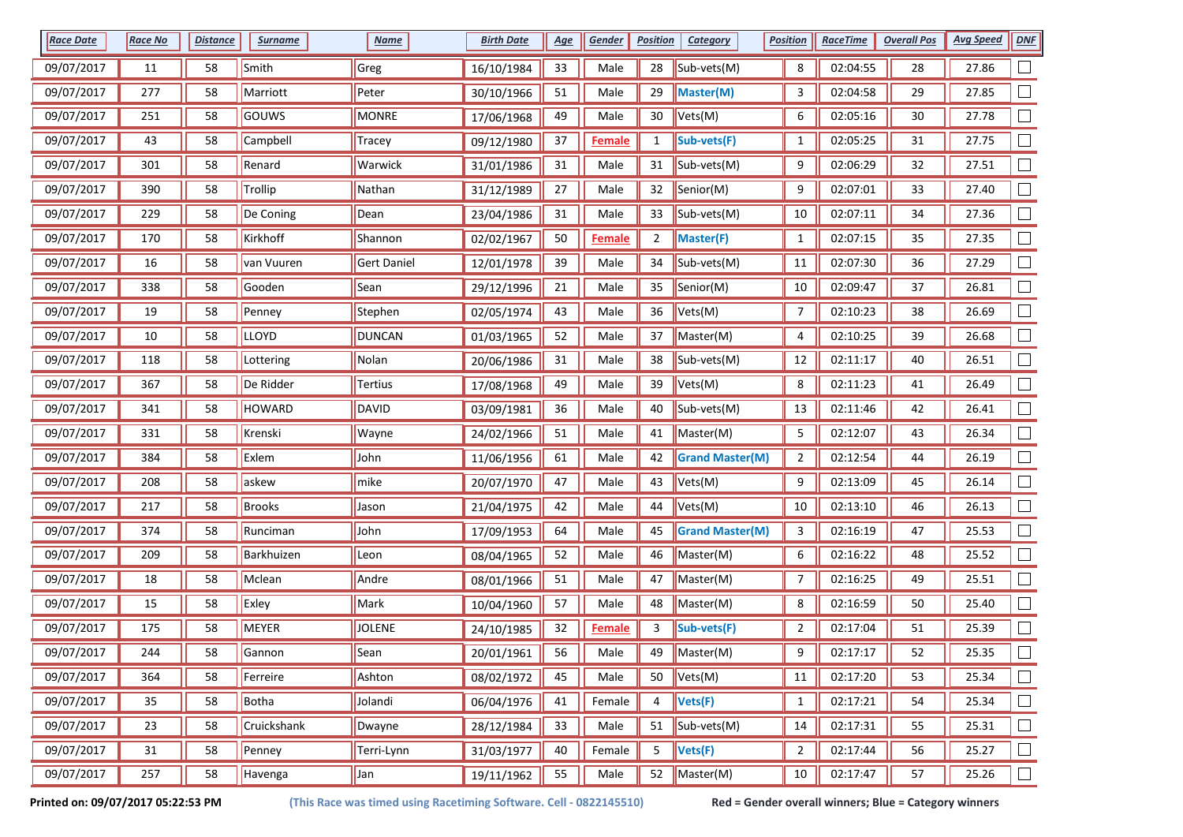| <b>Race Date</b> | <b>Race No</b> | <b>Distance</b> | <b>Surname</b> | <b>Name</b>   | <b>Birth Date</b> | <u>Age</u> | Gender        | <b>Position</b> | <b>Category</b>        | <b>Position</b> | <b>RaceTime</b> | <b>Overall Pos</b> | <b>Avg Speed</b> | <b>DNF</b> |
|------------------|----------------|-----------------|----------------|---------------|-------------------|------------|---------------|-----------------|------------------------|-----------------|-----------------|--------------------|------------------|------------|
| 09/07/2017       | 11             | 58              | Smith          | Greg          | 16/10/1984        | 33         | Male          | 28              | Sub-vets(M)            | 8               | 02:04:55        | 28                 | 27.86            |            |
| 09/07/2017       | 277            | 58              | Marriott       | Peter         | 30/10/1966        | 51         | Male          | 29              | Master(M)              | 3               | 02:04:58        | 29                 | 27.85            |            |
| 09/07/2017       | 251            | 58              | GOUWS          | MONRE         | 17/06/1968        | 49         | Male          | 30              | Vets(M)                | 6               | 02:05:16        | 30                 | 27.78            |            |
| 09/07/2017       | 43             | 58              | Campbell       | Tracey        | 09/12/1980        | 37         | <b>Female</b> | $\mathbf{1}$    | Sub-vets(F)            | $\mathbf{1}$    | 02:05:25        | 31                 | 27.75            |            |
| 09/07/2017       | 301            | 58              | Renard         | Warwick       | 31/01/1986        | 31         | Male          | 31              | Sub-vets(M)            | 9               | 02:06:29        | 32                 | 27.51            |            |
| 09/07/2017       | 390            | 58              | Trollip        | Nathan        | 31/12/1989        | $27\,$     | Male          | 32              | Senior(M)              | 9               | 02:07:01        | 33                 | 27.40            |            |
| 09/07/2017       | 229            | 58              | De Coning      | Dean          | 23/04/1986        | 31         | Male          | 33              | Sub-vets(M)            | 10              | 02:07:11        | 34                 | 27.36            |            |
| 09/07/2017       | 170            | 58              | Kirkhoff       | Shannon       | 02/02/1967        | 50         | <b>Female</b> | $\overline{2}$  | <b>Master(F)</b>       | $\mathbf{1}$    | 02:07:15        | 35                 | 27.35            |            |
| 09/07/2017       | 16             | 58              | van Vuuren     | Gert Daniel   | 12/01/1978        | 39         | Male          | 34              | Sub-vets(M)            | 11              | 02:07:30        | 36                 | 27.29            |            |
| 09/07/2017       | 338            | 58              | Gooden         | Sean          | 29/12/1996        | 21         | Male          | 35              | Senior(M)              | 10              | 02:09:47        | 37                 | 26.81            |            |
| 09/07/2017       | 19             | 58              | Penney         | Stephen       | 02/05/1974        | 43         | Male          | 36              | Vets(M)                | 7               | 02:10:23        | 38                 | 26.69            |            |
| 09/07/2017       | 10             | 58              | <b>LLOYD</b>   | <b>DUNCAN</b> | 01/03/1965        | 52         | Male          | 37              | Master(M)              | 4               | 02:10:25        | 39                 | 26.68            |            |
| 09/07/2017       | 118            | 58              | Lottering      | Nolan         | 20/06/1986        | 31         | Male          | 38              | Sub-vets(M)            | 12              | 02:11:17        | 40                 | 26.51            |            |
| 09/07/2017       | 367            | 58              | De Ridder      | Tertius       | 17/08/1968        | 49         | Male          | 39              | Vets(M)                | 8               | 02:11:23        | 41                 | 26.49            |            |
| 09/07/2017       | 341            | 58              | HOWARD         | DAVID         | 03/09/1981        | 36         | Male          | 40              | Sub-vets(M)            | 13              | 02:11:46        | 42                 | 26.41            |            |
| 09/07/2017       | 331            | 58              | Krenski        | Wayne         | 24/02/1966        | 51         | Male          | 41              | Master(M)              | 5               | 02:12:07        | 43                 | 26.34            | $\Box$     |
| 09/07/2017       | 384            | 58              | Exlem          | John          | 11/06/1956        | 61         | Male          | 42              | <b>Grand Master(M)</b> | $\overline{2}$  | 02:12:54        | 44                 | 26.19            |            |
| 09/07/2017       | 208            | 58              | askew          | mike          | 20/07/1970        | 47         | Male          | 43              | Vets(M)                | 9               | 02:13:09        | 45                 | 26.14            |            |
| 09/07/2017       | 217            | 58              | Brooks         | Jason         | 21/04/1975        | 42         | Male          | 44              | Vets(M)                | 10              | 02:13:10        | 46                 | 26.13            |            |
| 09/07/2017       | 374            | 58              | Runciman       | John          | 17/09/1953        | 64         | Male          | 45              | <b>Grand Master(M)</b> | 3               | 02:16:19        | 47                 | 25.53            |            |
| 09/07/2017       | 209            | 58              | Barkhuizen     | Leon          | 08/04/1965        | 52         | Male          | 46              | Master(M)              | 6               | 02:16:22        | 48                 | 25.52            |            |
| 09/07/2017       | 18             | 58              | Mclean         | Andre         | 08/01/1966        | 51         | Male          | 47              | Master(M)              | 7               | 02:16:25        | 49                 | 25.51            |            |
| 09/07/2017       | 15             | 58              | Exley          | Mark          | 10/04/1960        | 57         | Male          | 48              | Master(M)              | 8               | 02:16:59        | 50                 | 25.40            |            |
| 09/07/2017       | 175            | 58              | MEYER          | <b>JOLENE</b> | 24/10/1985        | 32         | <b>Female</b> | 3               | Sub-vets(F)            | $\overline{2}$  | 02:17:04        | 51                 | 25.39            |            |
| 09/07/2017       | 244            | 58              | Gannon         | Sean          | 20/01/1961        | 56         | Male          | 49              | Master(M)              | 9               | 02:17:17        | 52                 | 25.35            |            |
| 09/07/2017       | 364            | 58              | Ferreire       | Ashton        | 08/02/1972        | 45         | Male          | 50              | Vets(M)                | 11              | 02:17:20        | 53                 | 25.34            | $\Box$     |
| 09/07/2017       | 35             | 58              | Botha          | Jolandi       | 06/04/1976        | 41         | Female        | 4               | Vets(F)                | $\mathbf{1}$    | 02:17:21        | 54                 | 25.34            | $\Box$     |
| 09/07/2017       | 23             | 58              | Cruickshank    | Dwayne        | 28/12/1984        | 33         | Male          | 51              | Sub-vets(M)            | 14              | 02:17:31        | 55                 | 25.31            | $\Box$     |
| 09/07/2017       | 31             | 58              | Penney         | Terri-Lynn    | 31/03/1977        | 40         | Female        | 5               | Vets(F)                | $\overline{2}$  | 02:17:44        | 56                 | 25.27            | $\Box$     |
| 09/07/2017       | 257            | 58              | Havenga        | Jan           | 19/11/1962        | 55         | Male          | 52              | Master(M)              | $10\,$          | 02:17:47        | 57                 | 25.26            | $\Box$     |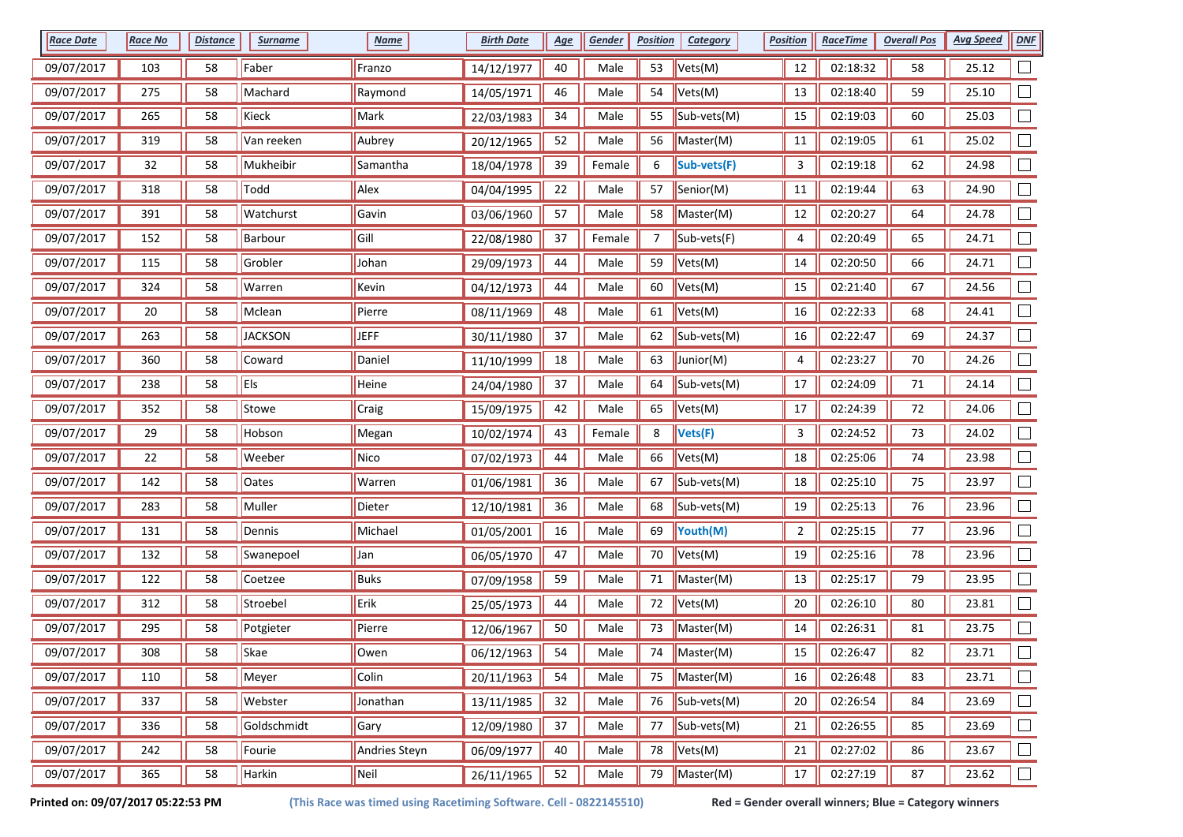| <b>Race Date</b> | <b>Race No</b> | <b>Distance</b> | <b>Surname</b> | <b>Name</b>   | <b>Birth Date</b> | <u>Age</u> | <b>Gender</b> | <b>Position</b> | Category    | <b>Position</b> | <b>RaceTime</b> | <b>Overall Pos</b> | <b>Avg Speed</b> | <b>DNF</b> |
|------------------|----------------|-----------------|----------------|---------------|-------------------|------------|---------------|-----------------|-------------|-----------------|-----------------|--------------------|------------------|------------|
| 09/07/2017       | 103            | 58              | Faber          | Franzo        | 14/12/1977        | $40\,$     | Male          | 53              | Vets(M)     | 12              | 02:18:32        | 58                 | 25.12            |            |
| 09/07/2017       | 275            | 58              | Machard        | Raymond       | 14/05/1971        | 46         | Male          | 54              | Vets(M)     | 13              | 02:18:40        | 59                 | 25.10            |            |
| 09/07/2017       | 265            | 58              | Kieck          | Mark          | 22/03/1983        | 34         | Male          | 55              | Sub-vets(M) | 15              | 02:19:03        | 60                 | 25.03            |            |
| 09/07/2017       | 319            | 58              | Van reeken     | Aubrey        | 20/12/1965        | 52         | Male          | 56              | Master(M)   | 11              | 02:19:05        | 61                 | 25.02            |            |
| 09/07/2017       | 32             | 58              | Mukheibir      | Samantha      | 18/04/1978        | 39         | Female        | 6               | Sub-vets(F) | 3               | 02:19:18        | 62                 | 24.98            |            |
| 09/07/2017       | 318            | 58              | Todd           | Alex          | 04/04/1995        | 22         | Male          | 57              | Senior(M)   | 11              | 02:19:44        | 63                 | 24.90            |            |
| 09/07/2017       | 391            | 58              | Watchurst      | Gavin         | 03/06/1960        | 57         | Male          | 58              | Master(M)   | 12              | 02:20:27        | 64                 | 24.78            |            |
| 09/07/2017       | 152            | 58              | Barbour        | Gill          | 22/08/1980        | 37         | Female        | 7               | Sub-vets(F) | 4               | 02:20:49        | 65                 | 24.71            |            |
| 09/07/2017       | 115            | 58              | Grobler        | Johan         | 29/09/1973        | 44         | Male          | 59              | Vets(M)     | 14              | 02:20:50        | 66                 | 24.71            |            |
| 09/07/2017       | 324            | 58              | Warren         | Kevin         | 04/12/1973        | 44         | Male          | 60              | Vets(M)     | 15              | 02:21:40        | 67                 | 24.56            |            |
| 09/07/2017       | 20             | 58              | Mclean         | Pierre        | 08/11/1969        | 48         | Male          | 61              | Vets(M)     | 16              | 02:22:33        | 68                 | 24.41            |            |
| 09/07/2017       | 263            | 58              | <b>JACKSON</b> | <b>JEFF</b>   | 30/11/1980        | 37         | Male          | 62              | Sub-vets(M) | 16              | 02:22:47        | 69                 | 24.37            |            |
| 09/07/2017       | 360            | 58              | Coward         | Daniel        | 11/10/1999        | 18         | Male          | 63              | Junior(M)   | 4               | 02:23:27        | 70                 | 24.26            |            |
| 09/07/2017       | 238            | 58              | Els            | Heine         | 24/04/1980        | 37         | Male          | 64              | Sub-vets(M) | 17              | 02:24:09        | 71                 | 24.14            |            |
| 09/07/2017       | 352            | 58              | Stowe          | Craig         | 15/09/1975        | 42         | Male          | 65              | Vets(M)     | 17              | 02:24:39        | 72                 | 24.06            |            |
| 09/07/2017       | 29             | 58              | Hobson         | Megan         | 10/02/1974        | 43         | Female        | 8               | Vets(F)     | 3               | 02:24:52        | 73                 | 24.02            | $\Box$     |
| 09/07/2017       | 22             | 58              | Weeber         | Nico          | 07/02/1973        | 44         | Male          | 66              | Vets(M)     | 18              | 02:25:06        | 74                 | 23.98            |            |
| 09/07/2017       | 142            | 58              | <b>Oates</b>   | Warren        | 01/06/1981        | 36         | Male          | 67              | Sub-vets(M) | 18              | 02:25:10        | 75                 | 23.97            |            |
| 09/07/2017       | 283            | 58              | Muller         | Dieter        | 12/10/1981        | 36         | Male          | 68              | Sub-vets(M) | 19              | 02:25:13        | 76                 | 23.96            |            |
| 09/07/2017       | 131            | 58              | Dennis         | Michael       | 01/05/2001        | 16         | Male          | 69              | Youth(M)    | $\overline{2}$  | 02:25:15        | 77                 | 23.96            |            |
| 09/07/2017       | 132            | 58              | Swanepoel      | <b>Jan</b>    | 06/05/1970        | 47         | Male          | 70              | Vets(M)     | 19              | 02:25:16        | 78                 | 23.96            |            |
| 09/07/2017       | 122            | 58              | Coetzee        | Buks          | 07/09/1958        | 59         | Male          | 71              | Master(M)   | 13              | 02:25:17        | 79                 | 23.95            |            |
| 09/07/2017       | 312            | 58              | Stroebel       | Erik          | 25/05/1973        | 44         | Male          | 72              | Vets(M)     | 20              | 02:26:10        | 80                 | 23.81            |            |
| 09/07/2017       | 295            | 58              | Potgieter      | Pierre        | 12/06/1967        | 50         | Male          | 73              | Master(M)   | 14              | 02:26:31        | 81                 | 23.75            |            |
| 09/07/2017       | 308            | 58              | Skae           | Owen          | 06/12/1963        | 54         | Male          | 74              | Master(M)   | 15              | 02:26:47        | 82                 | 23.71            |            |
| 09/07/2017       | 110            | 58              | Meyer          | Colin         | 20/11/1963        | 54         | Male          | 75              | Master(M)   | 16              | 02:26:48        | 83                 | 23.71            | $\Box$     |
| 09/07/2017       | 337            | 58              | Webster        | Jonathan      | 13/11/1985        | 32         | Male          | 76              | Sub-vets(M) | 20              | 02:26:54        | 84                 | 23.69            | $\Box$     |
| 09/07/2017       | 336            | 58              | Goldschmidt    | Gary          | 12/09/1980        | $37\,$     | Male          | 77              | Sub-vets(M) | 21              | 02:26:55        | 85                 | 23.69            | $\Box$     |
| 09/07/2017       | 242            | 58              | Fourie         | Andries Steyn | 06/09/1977        | 40         | Male          | 78              | Vets(M)     | 21              | 02:27:02        | 86                 | 23.67            | $\Box$     |
| 09/07/2017       | 365            | 58              | Harkin         | Neil          | 26/11/1965        | 52         | Male          | 79              | Master(M)   | $17\,$          | 02:27:19        | 87                 | 23.62            | $\Box$     |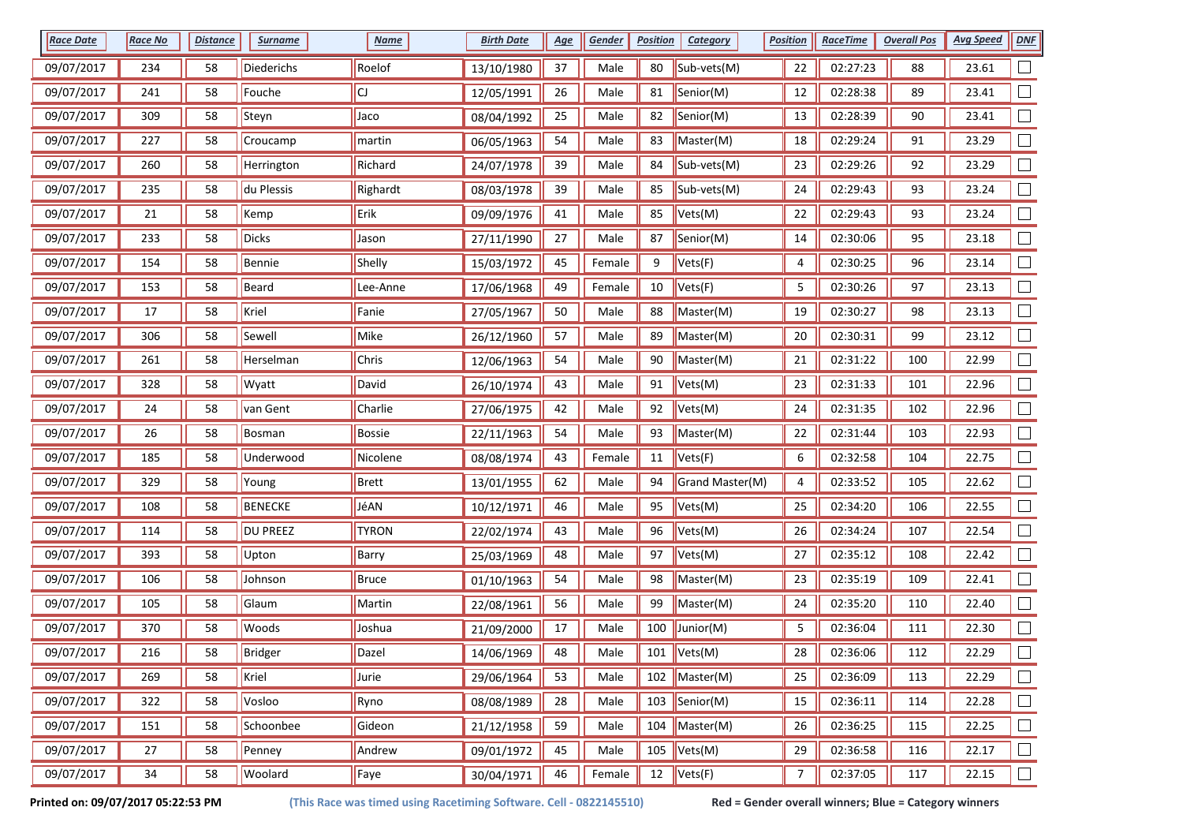| <b>Race Date</b> | <b>Race No</b> | <b>Distance</b> | <b>Surname</b>  | <b>Name</b>  | <b>Birth Date</b> | <u>Age</u> | Gender | <b>Position</b> | <b>Category</b>            | <b>Position</b> | <u>RaceTime</u> | <b>Overall Pos</b> | <b>Avg Speed</b> | DNF               |
|------------------|----------------|-----------------|-----------------|--------------|-------------------|------------|--------|-----------------|----------------------------|-----------------|-----------------|--------------------|------------------|-------------------|
| 09/07/2017       | 234            | 58              | Diederichs      | Roelof       | 13/10/1980        | 37         | Male   | 80              | Sub-vets(M)                | 22              | 02:27:23        | 88                 | 23.61            |                   |
| 09/07/2017       | 241            | 58              | Fouche          | CJ           | 12/05/1991        | 26         | Male   | 81              | Senior(M)                  | 12              | 02:28:38        | 89                 | 23.41            |                   |
| 09/07/2017       | 309            | 58              | Steyn           | Jaco         | 08/04/1992        | 25         | Male   | 82              | Senior(M)                  | 13              | 02:28:39        | 90                 | 23.41            |                   |
| 09/07/2017       | 227            | 58              | Croucamp        | martin       | 06/05/1963        | 54         | Male   | 83              | Master(M)                  | 18              | 02:29:24        | 91                 | 23.29            |                   |
| 09/07/2017       | 260            | 58              | Herrington      | Richard      | 24/07/1978        | 39         | Male   | 84              | Sub-vets(M)                | 23              | 02:29:26        | 92                 | 23.29            |                   |
| 09/07/2017       | 235            | 58              | du Plessis      | Righardt     | 08/03/1978        | 39         | Male   | 85              | Sub-vets(M)                | 24              | 02:29:43        | 93                 | 23.24            |                   |
| 09/07/2017       | 21             | 58              | Kemp            | Erik         | 09/09/1976        | 41         | Male   | 85              | Vets(M)                    | 22              | 02:29:43        | 93                 | 23.24            |                   |
| 09/07/2017       | 233            | 58              | Dicks           | Jason        | 27/11/1990        | 27         | Male   | 87              | Senior(M)                  | 14              | 02:30:06        | 95                 | 23.18            |                   |
| 09/07/2017       | 154            | 58              | Bennie          | Shelly       | 15/03/1972        | 45         | Female | 9               | Vets(F)                    | 4               | 02:30:25        | 96                 | 23.14            |                   |
| 09/07/2017       | 153            | 58              | Beard           | Lee-Anne     | 17/06/1968        | 49         | Female | 10              | Vets(F)                    | 5               | 02:30:26        | 97                 | 23.13            |                   |
| 09/07/2017       | 17             | 58              | Kriel           | Fanie        | 27/05/1967        | $50\,$     | Male   | 88              | Master(M)                  | 19              | 02:30:27        | 98                 | 23.13            |                   |
| 09/07/2017       | 306            | 58              | Sewell          | Mike         | 26/12/1960        | 57         | Male   | 89              | Master(M)                  | 20              | 02:30:31        | 99                 | 23.12            |                   |
| 09/07/2017       | 261            | 58              | Herselman       | Chris        | 12/06/1963        | 54         | Male   | 90              | Master(M)                  | 21              | 02:31:22        | 100                | 22.99            |                   |
| 09/07/2017       | 328            | 58              | Wyatt           | David        | 26/10/1974        | 43         | Male   | 91              | Vets(M)                    | 23              | 02:31:33        | 101                | 22.96            |                   |
| 09/07/2017       | 24             | 58              | van Gent        | Charlie      | 27/06/1975        | 42         | Male   | 92              | Vets(M)                    | 24              | 02:31:35        | 102                | 22.96            |                   |
| 09/07/2017       | 26             | 58              | Bosman          | Bossie       | 22/11/1963        | 54         | Male   | 93              | Master(M)                  | 22              | 02:31:44        | 103                | 22.93            |                   |
| 09/07/2017       | 185            | 58              | Underwood       | Nicolene     | 08/08/1974        | 43         | Female | 11              | Vets(F)                    | 6               | 02:32:58        | 104                | 22.75            |                   |
| 09/07/2017       | 329            | 58              | Young           | Brett        | 13/01/1955        | 62         | Male   | 94              | Grand Master(M)            | 4               | 02:33:52        | 105                | 22.62            |                   |
| 09/07/2017       | 108            | 58              | <b>BENECKE</b>  | JéAN         | 10/12/1971        | 46         | Male   | 95              | Vets(M)                    | 25              | 02:34:20        | 106                | 22.55            |                   |
| 09/07/2017       | 114            | 58              | <b>DU PREEZ</b> | <b>TYRON</b> | 22/02/1974        | 43         | Male   | 96              | Vets(M)                    | 26              | 02:34:24        | 107                | 22.54            |                   |
| 09/07/2017       | 393            | 58              | Upton           | Barry        | 25/03/1969        | 48         | Male   | 97              | Vets(M)                    | 27              | 02:35:12        | 108                | 22.42            |                   |
| 09/07/2017       | 106            | 58              | Johnson         | Bruce        | 01/10/1963        | 54         | Male   | 98              | Master(M)                  | 23              | 02:35:19        | 109                | 22.41            |                   |
| 09/07/2017       | 105            | 58              | Glaum           | Martin       | 22/08/1961        | 56         | Male   | 99              | Master(M)                  | 24              | 02:35:20        | 110                | 22.40            |                   |
| 09/07/2017       | 370            | 58              | Woods           | Joshua       | 21/09/2000        | 17         | Male   | 100             | Junior(M)                  | 5               | 02:36:04        | 111                | 22.30            |                   |
| 09/07/2017       | 216            | 58              | Bridger         | Dazel        | 14/06/1969        | 48         | Male   |                 | 101 $ Vets(M) $            | 28              | 02:36:06        | 112                | 22.29            |                   |
| 09/07/2017       | 269            | 58              | Kriel           | Jurie        | 29/06/1964        | 53         | Male   |                 | 102 Master(M)              | 25              | 02:36:09        | 113                | 22.29            | $\vert \ \ \vert$ |
| 09/07/2017       | 322            | 58              | Vosloo          | Ryno         | 08/08/1989        | 28         | Male   |                 | 103 Senior(M)              | $15\,$          | 02:36:11        | 114                | 22.28            | $\Box$            |
| 09/07/2017       | 151            | 58              | Schoonbee       | Gideon       | 21/12/1958        | 59         | Male   |                 | $\overline{104}$ Master(M) | 26              | 02:36:25        | 115                | 22.25            | $\Box$            |
| 09/07/2017       | 27             | 58              | Penney          | Andrew       | 09/01/1972        | 45         | Male   |                 | 105 $ Vets(M) $            | 29              | 02:36:58        | 116                | 22.17            | $\Box$            |
| 09/07/2017       | 34             | 58              | Woolard         | Faye         | 30/04/1971        | 46         | Female |                 | 12 $Vets(F)$               | 7               | 02:37:05        | 117                | 22.15            | $\Box$            |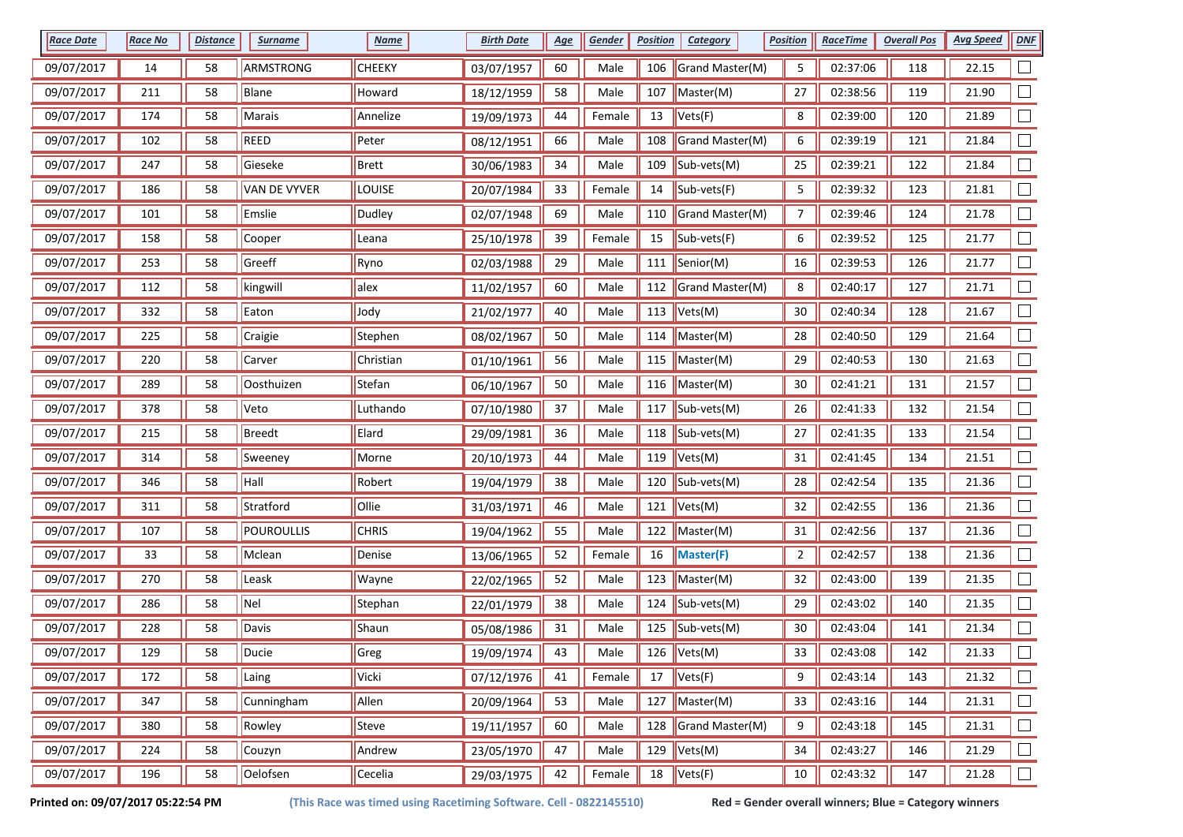| <b>Race Date</b> | <b>Race No</b> | <b>Distance</b> | <b>Surname</b>      | <b>Name</b>   | <b>Birth Date</b> | <u>Age</u> | Gender | <b>Position</b> | <b>Category</b>               | <b>Position</b> | <u>RaceTime</u> | <b>Overall Pos</b> | <b>Avg Speed</b> | DNF    |
|------------------|----------------|-----------------|---------------------|---------------|-------------------|------------|--------|-----------------|-------------------------------|-----------------|-----------------|--------------------|------------------|--------|
| 09/07/2017       | 14             | 58              | ARMSTRONG           | <b>CHEEKY</b> | 03/07/1957        | 60         | Male   | 106             | Grand Master(M)               | 5               | 02:37:06        | 118                | 22.15            |        |
| 09/07/2017       | 211            | 58              | Blane               | Howard        | 18/12/1959        | 58         | Male   | 107             | Master(M)                     | 27              | 02:38:56        | 119                | 21.90            |        |
| 09/07/2017       | 174            | 58              | Marais              | Annelize      | 19/09/1973        | 44         | Female | 13              | Vets(F)                       | 8               | 02:39:00        | 120                | 21.89            |        |
| 09/07/2017       | 102            | 58              | REED                | Peter         | 08/12/1951        | 66         | Male   | 108             | Grand Master(M)               | 6               | 02:39:19        | 121                | 21.84            |        |
| 09/07/2017       | 247            | 58              | Gieseke             | Brett         | 30/06/1983        | 34         | Male   | 109             | Sub-vets(M)                   | 25              | 02:39:21        | 122                | 21.84            |        |
| 09/07/2017       | 186            | 58              | <b>VAN DE VYVER</b> | LOUISE        | 20/07/1984        | 33         | Female | 14              | Sub-vets(F)                   | 5               | 02:39:32        | 123                | 21.81            |        |
| 09/07/2017       | 101            | 58              | Emslie              | Dudley        | 02/07/1948        | 69         | Male   | 110             | Grand Master(M)               | $\overline{7}$  | 02:39:46        | 124                | 21.78            |        |
| 09/07/2017       | 158            | 58              | Cooper              | Leana         | 25/10/1978        | 39         | Female | 15              | Sub-vets(F)                   | 6               | 02:39:52        | 125                | 21.77            |        |
| 09/07/2017       | 253            | 58              | Greeff              | Ryno          | 02/03/1988        | 29         | Male   | 111             | Senior(M)                     | 16              | 02:39:53        | 126                | 21.77            |        |
| 09/07/2017       | 112            | 58              | kingwill            | alex          | 11/02/1957        | 60         | Male   | 112             | Grand Master(M)               | 8               | 02:40:17        | 127                | 21.71            |        |
| 09/07/2017       | 332            | 58              | Eaton               | Jody          | 21/02/1977        | 40         | Male   | 113             | $\blacktriangleright$ Vets(M) | 30              | 02:40:34        | 128                | 21.67            |        |
| 09/07/2017       | 225            | 58              | Craigie             | Stephen       | 08/02/1967        | 50         | Male   |                 | 114   Master(M)               | 28              | 02:40:50        | 129                | 21.64            |        |
| 09/07/2017       | 220            | 58              | Carver              | Christian     | 01/10/1961        | 56         | Male   |                 | 115    Master(M)              | 29              | 02:40:53        | 130                | 21.63            |        |
| 09/07/2017       | 289            | 58              | Oosthuizen          | Stefan        | 06/10/1967        | $50\,$     | Male   |                 | 116   Master(M)               | 30              | 02:41:21        | 131                | 21.57            |        |
| 09/07/2017       | 378            | 58              | Veto                | Luthando      | 07/10/1980        | 37         | Male   |                 | 117 $\vert$ Sub-vets(M)       | 26              | 02:41:33        | 132                | 21.54            |        |
| 09/07/2017       | 215            | 58              | <b>Breedt</b>       | Elard         | 29/09/1981        | 36         | Male   | 118             | Sub-vets(M)                   | 27              | 02:41:35        | 133                | 21.54            |        |
| 09/07/2017       | 314            | 58              | Sweeney             | Morne         | 20/10/1973        | 44         | Male   | 119             | Vets(M)                       | 31              | 02:41:45        | 134                | 21.51            |        |
| 09/07/2017       | 346            | 58              | Hall                | Robert        | 19/04/1979        | 38         | Male   | 120             | Sub-vets(M)                   | 28              | 02:42:54        | 135                | 21.36            |        |
| 09/07/2017       | 311            | 58              | Stratford           | Ollie         | 31/03/1971        | 46         | Male   | 121             | Vets(M)                       | 32              | 02:42:55        | 136                | 21.36            |        |
| 09/07/2017       | 107            | 58              | POUROULLIS          | <b>CHRIS</b>  | 19/04/1962        | 55         | Male   | 122             | Master(M)                     | 31              | 02:42:56        | 137                | 21.36            |        |
| 09/07/2017       | 33             | 58              | Mclean              | Denise        | 13/06/1965        | 52         | Female | 16              | Master(F)                     | $\overline{a}$  | 02:42:57        | 138                | 21.36            |        |
| 09/07/2017       | 270            | 58              | Leask               | Wayne         | 22/02/1965        | 52         | Male   |                 | 123   Master(M)               | 32              | 02:43:00        | 139                | 21.35            |        |
| 09/07/2017       | 286            | 58              | Nel                 | Stephan       | 22/01/1979        | 38         | Male   | 124             | Sub-vets(M)                   | 29              | 02:43:02        | 140                | 21.35            |        |
| 09/07/2017       | 228            | 58              | Davis               | Shaun         | 05/08/1986        | 31         | Male   | 125             | Sub-vets(M)                   | 30              | 02:43:04        | 141                | 21.34            |        |
| 09/07/2017       | 129            | 58              | Ducie               | Greg          | 19/09/1974        | 43         | Male   |                 | 126 $ Vets(M) $               | 33              | 02:43:08        | 142                | 21.33            |        |
| 09/07/2017       | 172            | 58              | Laing               | Vicki         | 07/12/1976        | 41         | Female | 17              | Vets(F)                       | 9               | 02:43:14        | 143                | 21.32            | $\Box$ |
| 09/07/2017       | 347            | 58              | Cunningham          | Allen         | 20/09/1964        | 53         | Male   | 127             | $\blacksquare$ Master(M)      | 33              | 02:43:16        | 144                | 21.31            | $\Box$ |
| 09/07/2017       | 380            | 58              | Rowley              | Steve         | 19/11/1957        | 60         | Male   | 128             | Grand Master(M)               | 9               | 02:43:18        | 145                | 21.31            | $\Box$ |
| 09/07/2017       | 224            | 58              | Couzyn              | Andrew        | 23/05/1970        | 47         | Male   |                 | 129 $ Vets(M) $               | 34              | 02:43:27        | 146                | 21.29            | $\Box$ |
| 09/07/2017       | 196            | 58              | Oelofsen            | Cecelia       | 29/03/1975        | 42         | Female | 18              | Vets(F)                       | $10\,$          | 02:43:32        | 147                | 21.28            | $\Box$ |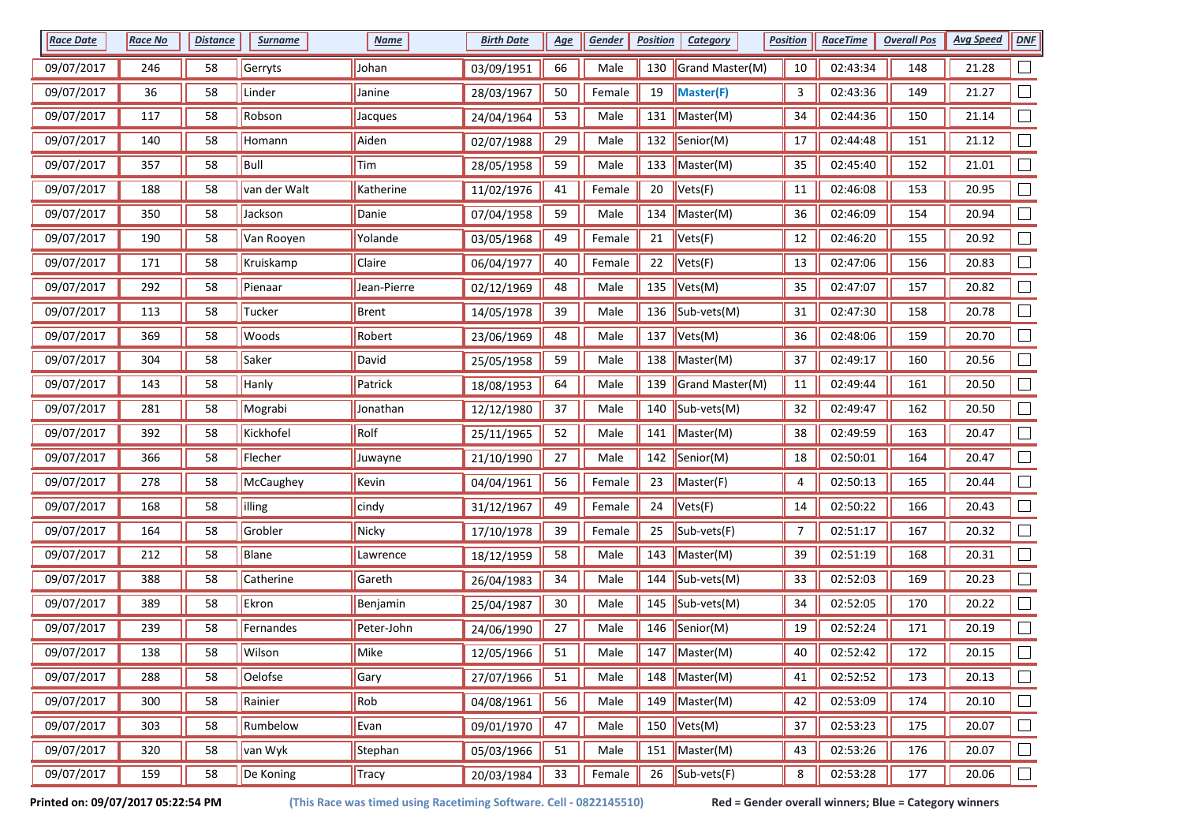| <b>Race Date</b> | <b>Race No</b> | <b>Distance</b> | <b>Surname</b> | <b>Name</b> | <b>Birth Date</b> | <u>Age</u> | Gender | <b>Position</b> | <b>Category</b>          | <b>Position</b> | <b>RaceTime</b> | <b>Overall Pos</b> | <b>Avg Speed</b> | <b>DNF</b> |
|------------------|----------------|-----------------|----------------|-------------|-------------------|------------|--------|-----------------|--------------------------|-----------------|-----------------|--------------------|------------------|------------|
| 09/07/2017       | 246            | 58              | Gerryts        | Johan       | 03/09/1951        | 66         | Male   | 130             | Grand Master(M)          | 10              | 02:43:34        | 148                | 21.28            |            |
| 09/07/2017       | 36             | 58              | Linder         | Janine      | 28/03/1967        | $50\,$     | Female | 19              | Master(F)                | 3               | 02:43:36        | 149                | 21.27            |            |
| 09/07/2017       | 117            | 58              | Robson         | Jacques     | 24/04/1964        | 53         | Male   | 131             | $\blacksquare$ Master(M) | 34              | 02:44:36        | 150                | 21.14            |            |
| 09/07/2017       | 140            | 58              | Homann         | Aiden       | 02/07/1988        | 29         | Male   | 132             | $\blacksquare$ Senior(M) | 17              | 02:44:48        | 151                | 21.12            |            |
| 09/07/2017       | 357            | 58              | Bull           | Tim         | 28/05/1958        | 59         | Male   | 133             | Master(M)                | 35              | 02:45:40        | 152                | 21.01            |            |
| 09/07/2017       | 188            | 58              | van der Walt   | Katherine   | 11/02/1976        | 41         | Female | 20              | Vets(F)                  | 11              | 02:46:08        | 153                | 20.95            |            |
| 09/07/2017       | 350            | 58              | Jackson        | Danie       | 07/04/1958        | 59         | Male   | 134             | Master(M)                | 36              | 02:46:09        | 154                | 20.94            |            |
| 09/07/2017       | 190            | 58              | Van Rooyen     | Yolande     | 03/05/1968        | 49         | Female | 21              | Vets(F)                  | 12              | 02:46:20        | 155                | 20.92            |            |
| 09/07/2017       | 171            | 58              | Kruiskamp      | Claire      | 06/04/1977        | 40         | Female | 22              | Vets(F)                  | 13              | 02:47:06        | 156                | 20.83            |            |
| 09/07/2017       | 292            | 58              | Pienaar        | Jean-Pierre | 02/12/1969        | 48         | Male   | 135             | Vets(M)                  | 35              | 02:47:07        | 157                | 20.82            |            |
| 09/07/2017       | 113            | 58              | Tucker         | Brent       | 14/05/1978        | 39         | Male   | 136             | $\parallel$ Sub-vets(M)  | 31              | 02:47:30        | 158                | 20.78            |            |
| 09/07/2017       | 369            | 58              | Woods          | Robert      | 23/06/1969        | 48         | Male   | 137             | Vets(M)                  | 36              | 02:48:06        | 159                | 20.70            |            |
| 09/07/2017       | 304            | 58              | Saker          | David       | 25/05/1958        | 59         | Male   | 138             | Master(M)                | 37              | 02:49:17        | 160                | 20.56            |            |
| 09/07/2017       | 143            | 58              | Hanly          | Patrick     | 18/08/1953        | 64         | Male   | 139             | Grand Master(M)          | 11              | 02:49:44        | 161                | 20.50            |            |
| 09/07/2017       | 281            | 58              | Mograbi        | Jonathan    | 12/12/1980        | 37         | Male   | 140             | $\vert$ Sub-vets(M)      | 32              | 02:49:47        | 162                | 20.50            |            |
| 09/07/2017       | 392            | 58              | Kickhofel      | Rolf        | 25/11/1965        | 52         | Male   | 141             | Master(M)                | 38              | 02:49:59        | 163                | 20.47            | $\Box$     |
| 09/07/2017       | 366            | 58              | Flecher        | Juwayne     | 21/10/1990        | 27         | Male   | 142             | Senior(M)                | 18              | 02:50:01        | 164                | 20.47            |            |
| 09/07/2017       | 278            | 58              | McCaughey      | Kevin       | 04/04/1961        | 56         | Female | 23              | Master(F)                | 4               | 02:50:13        | 165                | 20.44            |            |
| 09/07/2017       | 168            | 58              | lilling        | cindy       | 31/12/1967        | 49         | Female | 24              | Vets(F)                  | 14              | 02:50:22        | 166                | 20.43            |            |
| 09/07/2017       | 164            | 58              | Grobler        | Nicky       | 17/10/1978        | 39         | Female | 25              | Sub-vets(F)              | 7               | 02:51:17        | 167                | 20.32            |            |
| 09/07/2017       | 212            | 58              | Blane          | Lawrence    | 18/12/1959        | 58         | Male   | 143             | $\blacksquare$ Master(M) | 39              | 02:51:19        | 168                | 20.31            |            |
| 09/07/2017       | 388            | 58              | Catherine      | Gareth      | 26/04/1983        | 34         | Male   | 144             | $\vert$ Sub-vets(M)      | 33              | 02:52:03        | 169                | 20.23            |            |
| 09/07/2017       | 389            | 58              | Ekron          | Benjamin    | 25/04/1987        | $30\,$     | Male   | 145             | Sub-vets(M)              | 34              | 02:52:05        | 170                | 20.22            |            |
| 09/07/2017       | 239            | 58              | Fernandes      | Peter-John  | 24/06/1990        | 27         | Male   | 146             | Senior(M)                | 19              | 02:52:24        | 171                | 20.19            |            |
| 09/07/2017       | 138            | 58              | Wilson         | Mike        | 12/05/1966        | 51         | Male   | 147             | $\blacksquare$ Master(M) | 40              | 02:52:42        | 172                | 20.15            |            |
| 09/07/2017       | 288            | 58              | Oelofse        | Gary        | 27/07/1966        | 51         | Male   | 148             | Master(M)                | 41              | 02:52:52        | 173                | 20.13            | $\Box$     |
| 09/07/2017       | 300            | 58              | Rainier        | Rob         | 04/08/1961        | 56         | Male   | 149             | Master(M)                | 42              | 02:53:09        | 174                | 20.10            | $\Box$     |
| 09/07/2017       | 303            | 58              | Rumbelow       | Evan        | 09/01/1970        | 47         | Male   | 150             | $\sqrt{\text{Vets(M)}}$  | 37              | 02:53:23        | 175                | 20.07            | $\Box$     |
| 09/07/2017       | 320            | 58              | van Wyk        | Stephan     | 05/03/1966        | 51         | Male   | 151             | Master(M)                | 43              | 02:53:26        | 176                | 20.07            | $\Box$     |
| 09/07/2017       | 159            | 58              | De Koning      | Tracy       | 20/03/1984        | 33         | Female | 26              | $\left $ Sub-vets(F)     | 8               | 02:53:28        | 177                | 20.06            | $\Box$     |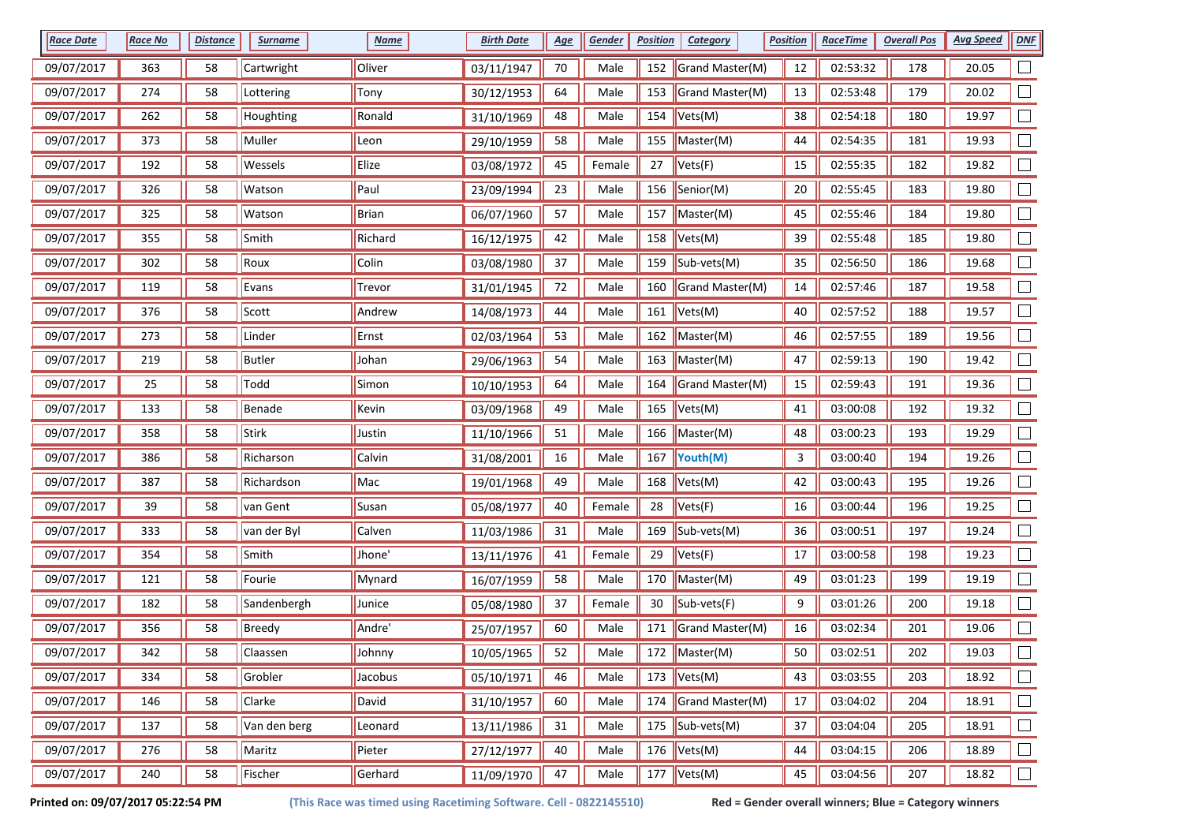| <b>Race Date</b> | <b>Race No</b> | <b>Distance</b> | <b>Surname</b> | <b>Name</b> | <b>Birth Date</b> | <u>Age</u> | Gender | <b>Position</b> | <b>Category</b>          | <b>Position</b> | <b>RaceTime</b> | <b>Overall Pos</b> | <b>Avg Speed</b> | DNE                      |
|------------------|----------------|-----------------|----------------|-------------|-------------------|------------|--------|-----------------|--------------------------|-----------------|-----------------|--------------------|------------------|--------------------------|
| 09/07/2017       | 363            | 58              | Cartwright     | Oliver      | 03/11/1947        | $70\,$     | Male   | 152             | Grand Master(M)          | 12              | 02:53:32        | 178                | 20.05            |                          |
| 09/07/2017       | 274            | 58              | Lottering      | Tony        | 30/12/1953        | 64         | Male   | 153             | Grand Master(M)          | 13              | 02:53:48        | 179                | 20.02            | $\overline{\phantom{a}}$ |
| 09/07/2017       | 262            | 58              | Houghting      | Ronald      | 31/10/1969        | 48         | Male   | 154             | Vets(M)                  | 38              | 02:54:18        | 180                | 19.97            |                          |
| 09/07/2017       | 373            | 58              | Muller         | Leon        | 29/10/1959        | 58         | Male   | 155             | Master(M)                | 44              | 02:54:35        | 181                | 19.93            |                          |
| 09/07/2017       | 192            | 58              | Wessels        | Elize       | 03/08/1972        | 45         | Female | 27              | Vets(F)                  | 15              | 02:55:35        | 182                | 19.82            |                          |
| 09/07/2017       | 326            | 58              | Watson         | Paul        | 23/09/1994        | 23         | Male   | 156             | Senior(M)                | $20\,$          | 02:55:45        | 183                | 19.80            | $\Box$                   |
| 09/07/2017       | 325            | 58              | Watson         | Brian       | 06/07/1960        | 57         | Male   | 157             | Master(M)                | 45              | 02:55:46        | 184                | 19.80            | $\Box$                   |
| 09/07/2017       | 355            | 58              | Smith          | Richard     | 16/12/1975        | 42         | Male   | 158             | Vets(M)                  | 39              | 02:55:48        | 185                | 19.80            | $\Box$                   |
| 09/07/2017       | 302            | 58              | Roux           | Colin       | 03/08/1980        | 37         | Male   | 159             | Sub-vets(M)              | 35              | 02:56:50        | 186                | 19.68            |                          |
| 09/07/2017       | 119            | 58              | Evans          | Trevor      | 31/01/1945        | 72         | Male   | 160             | Grand Master(M)          | 14              | 02:57:46        | 187                | 19.58            | $\Box$                   |
| 09/07/2017       | 376            | 58              | Scott          | Andrew      | 14/08/1973        | 44         | Male   | 161             | Vets(M)                  | 40              | 02:57:52        | 188                | 19.57            | $\Box$                   |
| 09/07/2017       | 273            | 58              | Linder         | Ernst       | 02/03/1964        | 53         | Male   | 162             | $\blacksquare$ Master(M) | 46              | 02:57:55        | 189                | 19.56            |                          |
| 09/07/2017       | 219            | 58              | Butler         | Johan       | 29/06/1963        | 54         | Male   | 163             | $\parallel$ Master(M)    | 47              | 02:59:13        | 190                | 19.42            |                          |
| 09/07/2017       | 25             | 58              | Todd           | Simon       | 10/10/1953        | 64         | Male   | 164             | Grand Master(M)          | 15              | 02:59:43        | 191                | 19.36            |                          |
| 09/07/2017       | 133            | 58              | Benade         | Kevin       | 03/09/1968        | 49         | Male   | 165             | Vets(M)                  | 41              | 03:00:08        | 192                | 19.32            | $\Box$                   |
| 09/07/2017       | 358            | 58              | Stirk          | Justin      | 11/10/1966        | 51         | Male   | 166             | Master(M)                | 48              | 03:00:23        | 193                | 19.29            | $\Box$                   |
| 09/07/2017       | 386            | 58              | Richarson      | Calvin      | 31/08/2001        | 16         | Male   | 167             | Youth(M)                 | 3               | 03:00:40        | 194                | 19.26            | $\Box$                   |
| 09/07/2017       | 387            | 58              | Richardson     | Mac         | 19/01/1968        | 49         | Male   | 168             | Vets(M)                  | 42              | 03:00:43        | 195                | 19.26            |                          |
| 09/07/2017       | 39             | 58              | van Gent       | Susan       | 05/08/1977        | 40         | Female | 28              | Vets(F)                  | 16              | 03:00:44        | 196                | 19.25            |                          |
| 09/07/2017       | 333            | 58              | van der Byl    | Calven      | 11/03/1986        | 31         | Male   | 169             | Sub-vets(M)              | 36              | 03:00:51        | 197                | 19.24            | $\Box$                   |
| 09/07/2017       | 354            | 58              | Smith          | Jhone'      | 13/11/1976        | 41         | Female | 29              | Vets(F)                  | 17              | 03:00:58        | 198                | 19.23            | $\Box$                   |
| 09/07/2017       | 121            | 58              | Fourie         | Mynard      | 16/07/1959        | 58         | Male   | 170             | Master(M)                | 49              | 03:01:23        | 199                | 19.19            |                          |
| 09/07/2017       | 182            | 58              | Sandenbergh    | Junice      | 05/08/1980        | 37         | Female | 30              | Sub-vets(F)              | 9               | 03:01:26        | 200                | 19.18            |                          |
| 09/07/2017       | 356            | 58              | Breedy         | Andre'      | 25/07/1957        | 60         | Male   | 171             | Grand Master(M)          | 16              | 03:02:34        | 201                | 19.06            | $\Box$                   |
| 09/07/2017       | 342            | 58              | Claassen       | Johnny      | 10/05/1965        | 52         | Male   |                 | 172   Master(M)          | 50              | 03:02:51        | 202                | 19.03            | $\overline{\phantom{a}}$ |
| 09/07/2017       | 334            | 58              | Grobler        | Jacobus     | 05/10/1971        | 46         | Male   | 173             | $\sqrt{\text{Vets}(M)}$  | 43              | 03:03:55        | 203                | 18.92            | $\Box$                   |
| 09/07/2017       | 146            | 58              | Clarke         | David       | 31/10/1957        | 60         | Male   | 174             | Grand Master(M)          | $17\,$          | 03:04:02        | 204                | 18.91            | $\Box$                   |
| 09/07/2017       | 137            | 58              | Van den berg   | Leonard     | 13/11/1986        | 31         | Male   |                 | 175 $\vert$ Sub-vets(M)  | 37              | 03:04:04        | 205                | 18.91            | $\Box$                   |
| 09/07/2017       | 276            | 58              | Maritz         | Pieter      | 27/12/1977        | 40         | Male   |                 | 176 $Vets(M)$            | 44              | 03:04:15        | 206                | 18.89            | $\Box$                   |
| 09/07/2017       | 240            | 58              | Fischer        | Gerhard     | 11/09/1970        | 47         | Male   |                 | 177 $ Vets(M) $          | 45              | 03:04:56        | 207                | 18.82            | $\Box$                   |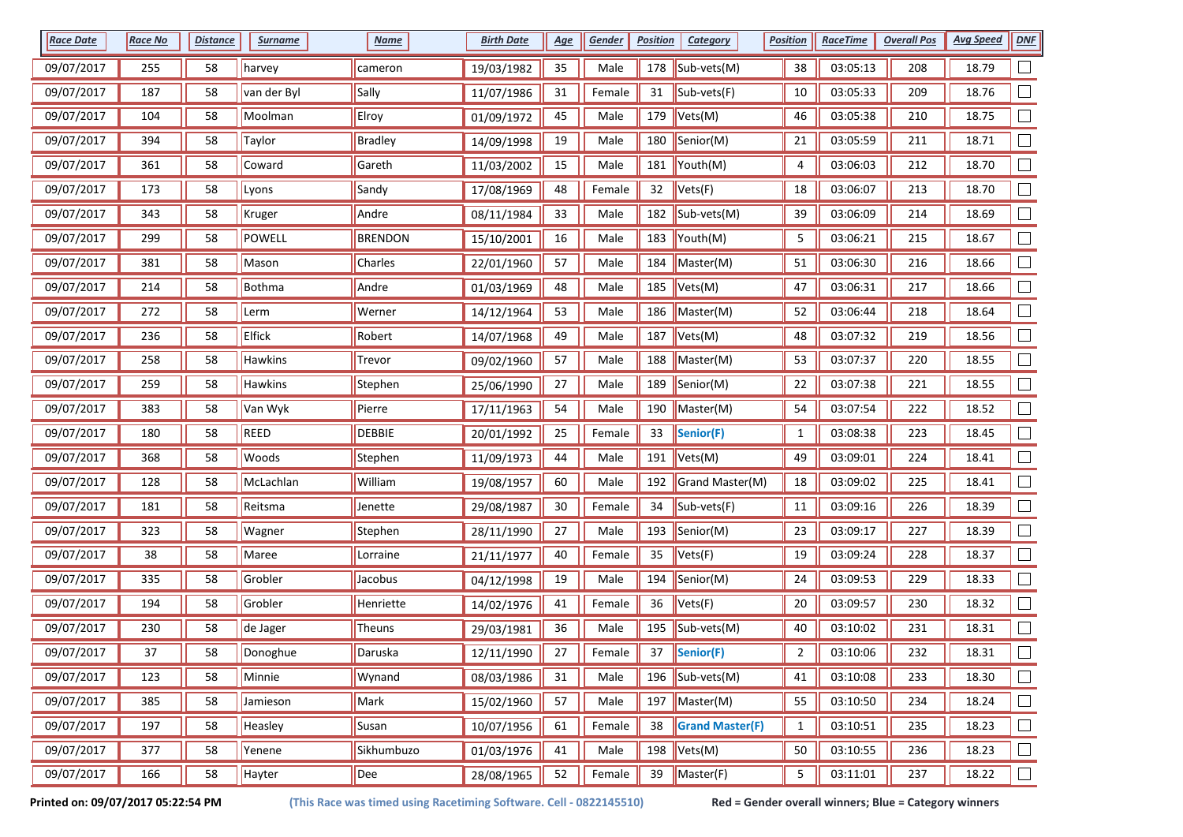| <b>Race Date</b> | <b>Race No</b> | <b>Distance</b> | <b>Surname</b> | <b>Name</b>    | <b>Birth Date</b> | <u>Age</u> | Gender | <b>Position</b> | <b>Category</b>              | <b>Position</b> | <u>RaceTime</u> | <b>Overall Pos</b> | <b>Avg Speed</b> | DNF    |
|------------------|----------------|-----------------|----------------|----------------|-------------------|------------|--------|-----------------|------------------------------|-----------------|-----------------|--------------------|------------------|--------|
| 09/07/2017       | 255            | 58              | harvey         | cameron        | 19/03/1982        | 35         | Male   | 178             | Sub-vets(M)                  | 38              | 03:05:13        | 208                | 18.79            |        |
| 09/07/2017       | 187            | 58              | van der Byl    | Sally          | 11/07/1986        | 31         | Female | 31              | Sub-vets(F)                  | 10              | 03:05:33        | 209                | 18.76            |        |
| 09/07/2017       | 104            | 58              | Moolman        | Elroy          | 01/09/1972        | 45         | Male   | 179             | Vets(M)                      | 46              | 03:05:38        | 210                | 18.75            |        |
| 09/07/2017       | 394            | 58              | <b>Taylor</b>  | <b>Bradley</b> | 14/09/1998        | 19         | Male   | 180             | Senior(M)                    | 21              | 03:05:59        | 211                | 18.71            |        |
| 09/07/2017       | 361            | 58              | Coward         | Gareth         | 11/03/2002        | 15         | Male   | 181             | Youth(M)                     | 4               | 03:06:03        | 212                | 18.70            |        |
| 09/07/2017       | 173            | 58              | Lyons          | Sandy          | 17/08/1969        | 48         | Female | 32              | Vets(F)                      | 18              | 03:06:07        | 213                | 18.70            |        |
| 09/07/2017       | 343            | 58              | Kruger         | Andre          | 08/11/1984        | 33         | Male   | 182             | Sub-vets(M)                  | 39              | 03:06:09        | 214                | 18.69            |        |
| 09/07/2017       | 299            | 58              | POWELL         | <b>BRENDON</b> | 15/10/2001        | 16         | Male   | 183             | Youth(M)                     | 5               | 03:06:21        | 215                | 18.67            |        |
| 09/07/2017       | 381            | 58              | Mason          | Charles        | 22/01/1960        | 57         | Male   | 184             | Master(M)                    | 51              | 03:06:30        | 216                | 18.66            |        |
| 09/07/2017       | 214            | 58              | Bothma         | Andre          | 01/03/1969        | 48         | Male   | 185             | Vets(M)                      | 47              | 03:06:31        | 217                | 18.66            |        |
| 09/07/2017       | 272            | 58              | Lerm           | Werner         | 14/12/1964        | 53         | Male   | 186             | Master(M)                    | 52              | 03:06:44        | 218                | 18.64            |        |
| 09/07/2017       | 236            | 58              | Elfick         | Robert         | 14/07/1968        | 49         | Male   | 187             | $\vert$ Vets(M)              | 48              | 03:07:32        | 219                | 18.56            |        |
| 09/07/2017       | 258            | 58              | <b>Hawkins</b> | Trevor         | 09/02/1960        | 57         | Male   |                 | 188    Master(M)             | 53              | 03:07:37        | 220                | 18.55            |        |
| 09/07/2017       | 259            | 58              | Hawkins        | Stephen        | 25/06/1990        | 27         | Male   | 189             | Senior(M)                    | 22              | 03:07:38        | 221                | 18.55            |        |
| 09/07/2017       | 383            | 58              | Van Wyk        | Pierre         | 17/11/1963        | 54         | Male   | 190             | Master(M)                    | 54              | 03:07:54        | 222                | 18.52            |        |
| 09/07/2017       | 180            | 58              | REED           | <b>DEBBIE</b>  | 20/01/1992        | 25         | Female | 33              | Senior(F)                    | $\mathbf{1}$    | 03:08:38        | 223                | 18.45            |        |
| 09/07/2017       | 368            | 58              | Woods          | Stephen        | 11/09/1973        | 44         | Male   | 191             | Vets(M)                      | 49              | 03:09:01        | 224                | 18.41            |        |
| 09/07/2017       | 128            | 58              | McLachlan      | William        | 19/08/1957        | 60         | Male   | 192             | Grand Master(M)              | 18              | 03:09:02        | 225                | 18.41            |        |
| 09/07/2017       | 181            | 58              | Reitsma        | Jenette        | 29/08/1987        | $30\,$     | Female | 34              | Sub-vets(F)                  | 11              | 03:09:16        | 226                | 18.39            |        |
| 09/07/2017       | 323            | 58              | Wagner         | Stephen        | 28/11/1990        | 27         | Male   | 193             | Senior(M)                    | 23              | 03:09:17        | 227                | 18.39            |        |
| 09/07/2017       | 38             | 58              | Maree          | Lorraine       | 21/11/1977        | 40         | Female | 35              | Vets(F)                      | 19              | 03:09:24        | 228                | 18.37            |        |
| 09/07/2017       | 335            | 58              | Grobler        | Jacobus        | 04/12/1998        | 19         | Male   | 194             | Senior(M)                    | 24              | 03:09:53        | 229                | 18.33            |        |
| 09/07/2017       | 194            | 58              | Grobler        | Henriette      | 14/02/1976        | 41         | Female | 36              | Vets(F)                      | $20\,$          | 03:09:57        | 230                | 18.32            |        |
| 09/07/2017       | 230            | 58              | de Jager       | Theuns         | 29/03/1981        | 36         | Male   | 195             | Sub-vets(M)                  | 40              | 03:10:02        | 231                | 18.31            |        |
| 09/07/2017       | 37             | 58              | Donoghue       | Daruska        | 12/11/1990        | 27         | Female | 37              | Senior(F)                    | 2               | 03:10:06        | 232                | 18.31            |        |
| 09/07/2017       | 123            | 58              | Minnie         | Wynand         | 08/03/1986        | 31         | Male   |                 | 196 $ Sub-vests(M) $         | 41              | 03:10:08        | 233                | 18.30            | $\Box$ |
| 09/07/2017       | 385            | 58              | Jamieson       | Mark           | 15/02/1960        | 57         | Male   |                 | 197 Master(M)                | 55              | 03:10:50        | 234                | 18.24            | $\Box$ |
| 09/07/2017       | 197            | 58              | Heasley        | Susan          | 10/07/1956        | 61         | Female | 38              | <b>Grand Master(F)</b>       | $\mathbf{1}$    | 03:10:51        | 235                | 18.23            | $\Box$ |
| 09/07/2017       | 377            | 58              | Yenene         | Sikhumbuzo     | 01/03/1976        | 41         | Male   |                 | 198 $Vets(M)$                | 50              | 03:10:55        | 236                | 18.23            | $\Box$ |
| 09/07/2017       | 166            | 58              | Hayter         | Dee            | 28/08/1965        | 52         | Female | 39              | $\sqrt{\mathsf{M}}$ aster(F) | 5               | 03:11:01        | 237                | 18.22            | $\Box$ |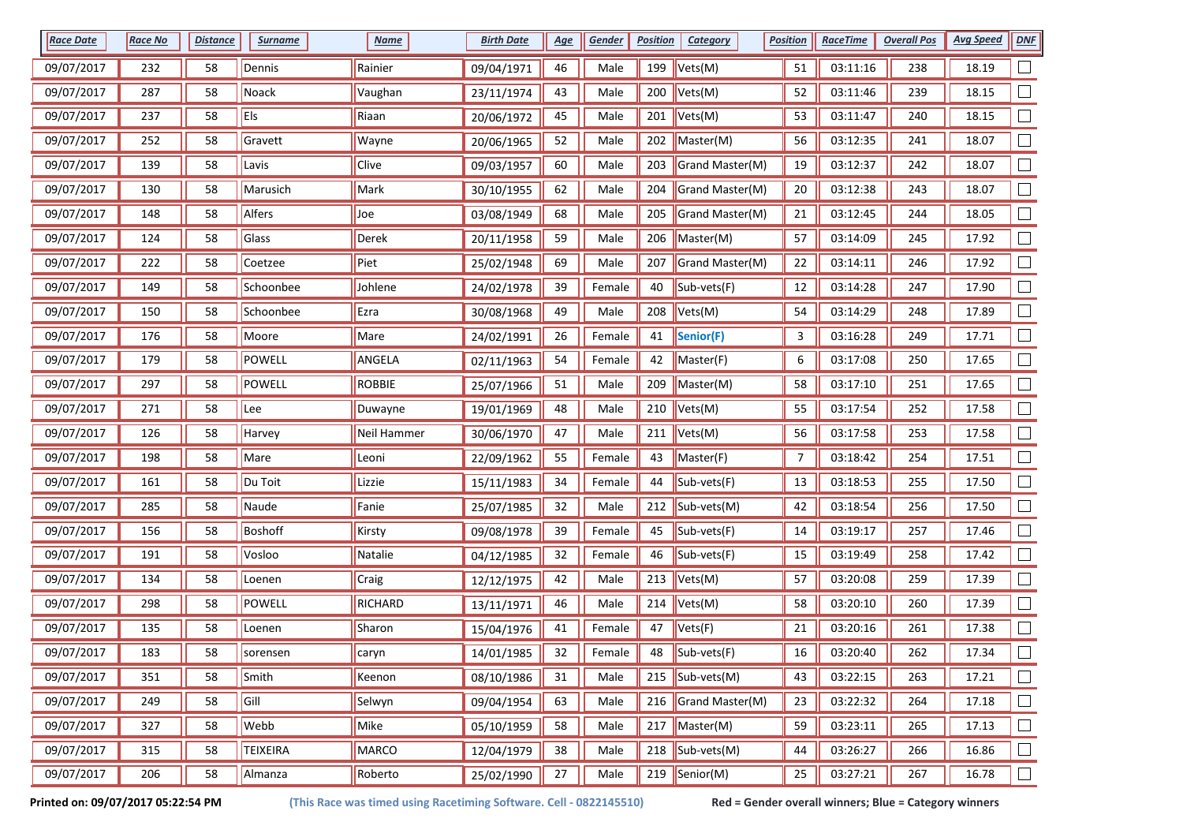| <b>Race Date</b> | <b>Race No</b> | <b>Distance</b> | <b>Surname</b>  | <b>Name</b>   | <b>Birth Date</b> | <u>Age</u> | Gender | <b>Position</b> | Category                      | <b>Position</b> | <b>RaceTime</b> | <b>Overall Pos</b> | <b>Avg Speed</b> | <b>DNF</b> |
|------------------|----------------|-----------------|-----------------|---------------|-------------------|------------|--------|-----------------|-------------------------------|-----------------|-----------------|--------------------|------------------|------------|
| 09/07/2017       | 232            | 58              | Dennis          | Rainier       | 09/04/1971        | 46         | Male   | 199             | Vets(M)                       | 51              | 03:11:16        | 238                | 18.19            |            |
| 09/07/2017       | 287            | 58              | Noack           | Vaughan       | 23/11/1974        | 43         | Male   | 200             | Vets(M)                       | 52              | 03:11:46        | 239                | 18.15            |            |
| 09/07/2017       | 237            | 58              | Els             | Riaan         | 20/06/1972        | 45         | Male   | 201             | Vets(M)                       | 53              | 03:11:47        | 240                | 18.15            |            |
| 09/07/2017       | 252            | 58              | Gravett         | Wayne         | 20/06/1965        | 52         | Male   | 202             | Master(M)                     | 56              | 03:12:35        | 241                | 18.07            |            |
| 09/07/2017       | 139            | 58              | Lavis           | Clive         | 09/03/1957        | 60         | Male   | 203             | Grand Master(M)               | 19              | 03:12:37        | 242                | 18.07            |            |
| 09/07/2017       | 130            | 58              | Marusich        | Mark          | 30/10/1955        | 62         | Male   | 204             | Grand Master(M)               | 20              | 03:12:38        | 243                | 18.07            |            |
| 09/07/2017       | 148            | 58              | Alfers          | Joe           | 03/08/1949        | 68         | Male   | 205             | Grand Master(M)               | 21              | 03:12:45        | 244                | 18.05            |            |
| 09/07/2017       | 124            | 58              | Glass           | Derek         | 20/11/1958        | 59         | Male   | 206             | Master(M)                     | 57              | 03:14:09        | 245                | 17.92            |            |
| 09/07/2017       | 222            | 58              | Coetzee         | Piet          | 25/02/1948        | 69         | Male   | 207             | Grand Master(M)               | 22              | 03:14:11        | 246                | 17.92            |            |
| 09/07/2017       | 149            | 58              | Schoonbee       | Johlene       | 24/02/1978        | 39         | Female | 40              | Sub-vets(F)                   | 12              | 03:14:28        | 247                | 17.90            |            |
| 09/07/2017       | 150            | 58              | Schoonbee       | Ezra          | 30/08/1968        | 49         | Male   | 208             | Vets(M)                       | 54              | 03:14:29        | 248                | 17.89            |            |
| 09/07/2017       | 176            | 58              | Moore           | Mare          | 24/02/1991        | 26         | Female | 41              | Senior(F)                     | 3               | 03:16:28        | 249                | 17.71            |            |
| 09/07/2017       | 179            | 58              | POWELL          | ANGELA        | 02/11/1963        | 54         | Female | 42              | Master(F)                     | 6               | 03:17:08        | 250                | 17.65            |            |
| 09/07/2017       | 297            | 58              | POWELL          | <b>ROBBIE</b> | 25/07/1966        | 51         | Male   | 209             | Master(M)                     | 58              | 03:17:10        | 251                | 17.65            |            |
| 09/07/2017       | 271            | 58              | Lee             | Duwayne       | 19/01/1969        | 48         | Male   | 210             | Vets(M)                       | 55              | 03:17:54        | 252                | 17.58            |            |
| 09/07/2017       | 126            | 58              | Harvey          | Neil Hammer   | 30/06/1970        | 47         | Male   | 211             | Vets(M)                       | 56              | 03:17:58        | 253                | 17.58            | $\Box$     |
| 09/07/2017       | 198            | 58              | Mare            | Leoni         | 22/09/1962        | 55         | Female | 43              | Master(F)                     | $\overline{7}$  | 03:18:42        | 254                | 17.51            |            |
| 09/07/2017       | 161            | 58              | Du Toit         | Lizzie        | 15/11/1983        | 34         | Female | 44              | Sub-vets(F)                   | 13              | 03:18:53        | 255                | 17.50            |            |
| 09/07/2017       | 285            | 58              | Naude           | Fanie         | 25/07/1985        | 32         | Male   | 212             | Sub-vets(M)                   | 42              | 03:18:54        | 256                | 17.50            |            |
| 09/07/2017       | 156            | 58              | Boshoff         | Kirsty        | 09/08/1978        | 39         | Female | 45              | Sub-vets(F)                   | 14              | 03:19:17        | 257                | 17.46            |            |
| 09/07/2017       | 191            | 58              | Vosloo          | Natalie       | 04/12/1985        | 32         | Female | 46              | Sub-vets(F)                   | 15              | 03:19:49        | 258                | 17.42            |            |
| 09/07/2017       | 134            | 58              | Loenen          | Craig         | 12/12/1975        | 42         | Male   | 213             | Vets(M)                       | 57              | 03:20:08        | 259                | 17.39            |            |
| 09/07/2017       | 298            | 58              | POWELL          | RICHARD       | 13/11/1971        | 46         | Male   | 214             | $\blacktriangleright$ Vets(M) | 58              | 03:20:10        | 260                | 17.39            |            |
| 09/07/2017       | 135            | 58              | Loenen          | Sharon        | 15/04/1976        | 41         | Female | 47              | Vets(F)                       | 21              | 03:20:16        | 261                | 17.38            |            |
| 09/07/2017       | 183            | 58              | sorensen        | caryn         | 14/01/1985        | 32         | Female | 48              | Sub-vets(F)                   | 16              | 03:20:40        | 262                | 17.34            |            |
| 09/07/2017       | 351            | 58              | Smith           | Keenon        | 08/10/1986        | 31         | Male   | 215             | $\vert$ Sub-vets(M)           | 43              | 03:22:15        | 263                | 17.21            | $\Box$     |
| 09/07/2017       | 249            | 58              | Gill            | Selwyn        | 09/04/1954        | 63         | Male   | 216             | Grand Master(M)               | 23              | 03:22:32        | 264                | 17.18            | $\Box$     |
| 09/07/2017       | 327            | 58              | Webb            | Mike          | 05/10/1959        | 58         | Male   | 217             | $M$ Master(M)                 | 59              | 03:23:11        | 265                | 17.13            | $\Box$     |
| 09/07/2017       | 315            | 58              | <b>TEIXEIRA</b> | MARCO         | 12/04/1979        | 38         | Male   | 218             | $\vert$ Sub-vets(M)           | 44              | 03:26:27        | 266                | 16.86            | $\Box$     |
| 09/07/2017       | 206            | 58              | Almanza         | Roberto       | 25/02/1990        | $27$       | Male   |                 | 219 Senior(M)                 | 25              | 03:27:21        | 267                | 16.78            | $\Box$     |